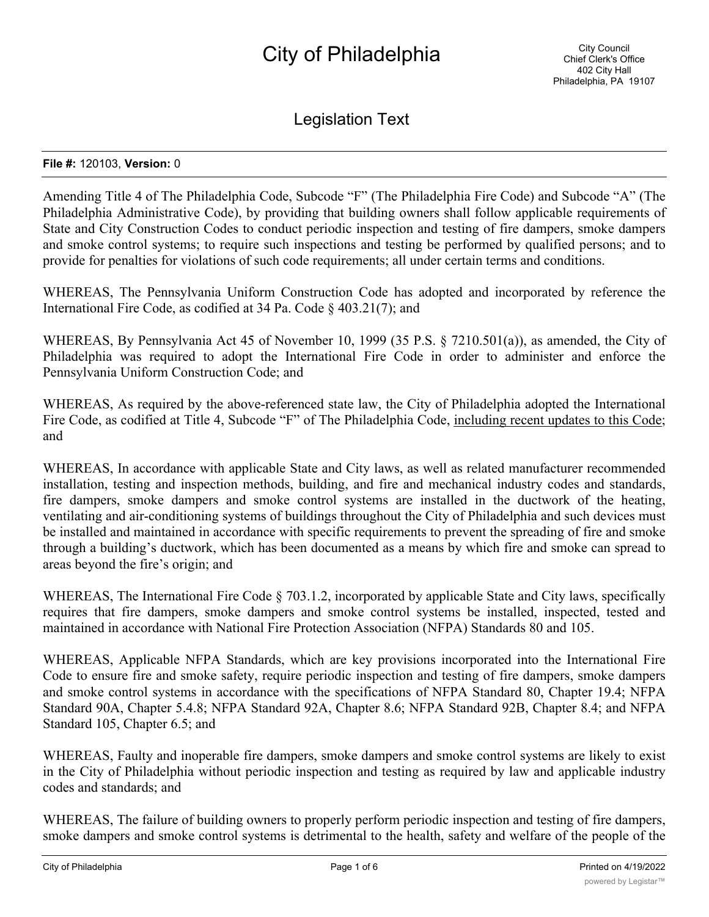# City of Philadelphia

Legislation Text

#### **File #:** 120103, **Version:** 0

Amending Title 4 of The Philadelphia Code, Subcode "F" (The Philadelphia Fire Code) and Subcode "A" (The Philadelphia Administrative Code), by providing that building owners shall follow applicable requirements of State and City Construction Codes to conduct periodic inspection and testing of fire dampers, smoke dampers and smoke control systems; to require such inspections and testing be performed by qualified persons; and to provide for penalties for violations of such code requirements; all under certain terms and conditions.

WHEREAS, The Pennsylvania Uniform Construction Code has adopted and incorporated by reference the International Fire Code, as codified at 34 Pa. Code § 403.21(7); and

WHEREAS, By Pennsylvania Act 45 of November 10, 1999 (35 P.S. § 7210.501(a)), as amended, the City of Philadelphia was required to adopt the International Fire Code in order to administer and enforce the Pennsylvania Uniform Construction Code; and

WHEREAS, As required by the above-referenced state law, the City of Philadelphia adopted the International Fire Code, as codified at Title 4, Subcode "F" of The Philadelphia Code, including recent updates to this Code; and

WHEREAS, In accordance with applicable State and City laws, as well as related manufacturer recommended installation, testing and inspection methods, building, and fire and mechanical industry codes and standards, fire dampers, smoke dampers and smoke control systems are installed in the ductwork of the heating, ventilating and air-conditioning systems of buildings throughout the City of Philadelphia and such devices must be installed and maintained in accordance with specific requirements to prevent the spreading of fire and smoke through a building's ductwork, which has been documented as a means by which fire and smoke can spread to areas beyond the fire's origin; and

WHEREAS, The International Fire Code § 703.1.2, incorporated by applicable State and City laws, specifically requires that fire dampers, smoke dampers and smoke control systems be installed, inspected, tested and maintained in accordance with National Fire Protection Association (NFPA) Standards 80 and 105.

WHEREAS, Applicable NFPA Standards, which are key provisions incorporated into the International Fire Code to ensure fire and smoke safety, require periodic inspection and testing of fire dampers, smoke dampers and smoke control systems in accordance with the specifications of NFPA Standard 80, Chapter 19.4; NFPA Standard 90A, Chapter 5.4.8; NFPA Standard 92A, Chapter 8.6; NFPA Standard 92B, Chapter 8.4; and NFPA Standard 105, Chapter 6.5; and

WHEREAS, Faulty and inoperable fire dampers, smoke dampers and smoke control systems are likely to exist in the City of Philadelphia without periodic inspection and testing as required by law and applicable industry codes and standards; and

WHEREAS, The failure of building owners to properly perform periodic inspection and testing of fire dampers, smoke dampers and smoke control systems is detrimental to the health, safety and welfare of the people of the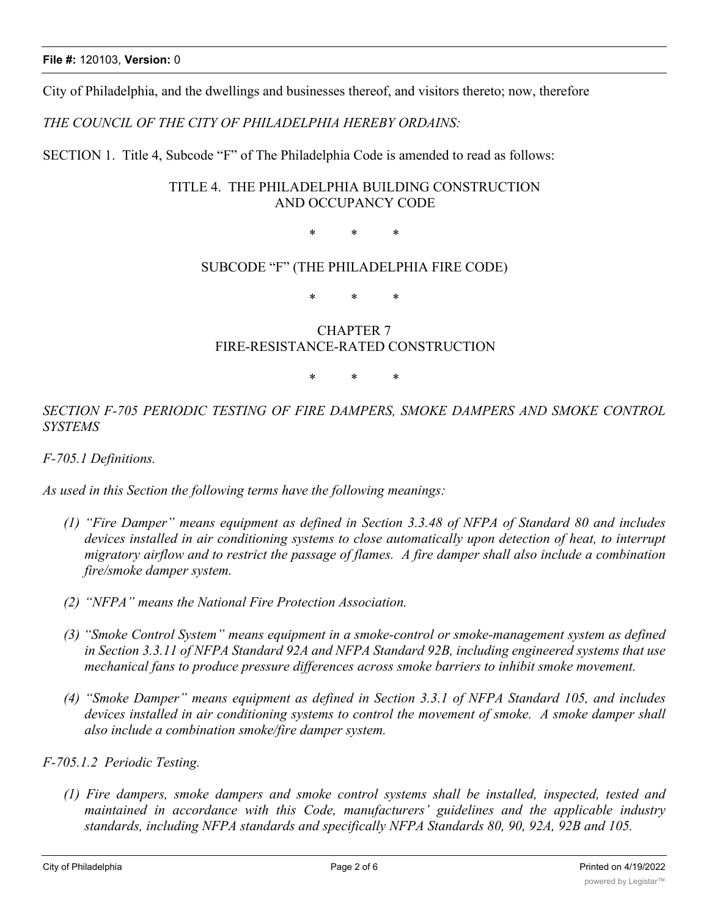City of Philadelphia, and the dwellings and businesses thereof, and visitors thereto; now, therefore

*THE COUNCIL OF THE CITY OF PHILADELPHIA HEREBY ORDAINS:*

SECTION 1. Title 4, Subcode "F" of The Philadelphia Code is amended to read as follows:

# TITLE 4. THE PHILADELPHIA BUILDING CONSTRUCTION AND OCCUPANCY CODE

\* \* \*

### SUBCODE "F" (THE PHILADELPHIA FIRE CODE)

\* \* \*

# CHAPTER 7 FIRE-RESISTANCE-RATED CONSTRUCTION

\* \* \*

*SECTION F-705 PERIODIC TESTING OF FIRE DAMPERS, SMOKE DAMPERS AND SMOKE CONTROL SYSTEMS*

*F-705.1 Definitions.*

*As used in this Section the following terms have the following meanings:*

- *(1) "Fire Damper" means equipment as defined in Section 3.3.48 of NFPA of Standard 80 and includes devices installed in air conditioning systems to close automatically upon detection of heat, to interrupt migratory airflow and to restrict the passage of flames. A fire damper shall also include a combination fire/smoke damper system.*
- *(2) "NFPA" means the National Fire Protection Association.*
- *(3) "Smoke Control System" means equipment in a smoke-control or smoke-management system as defined in Section 3.3.11 of NFPA Standard 92A and NFPA Standard 92B, including engineered systems that use mechanical fans to produce pressure differences across smoke barriers to inhibit smoke movement.*
- *(4) "Smoke Damper" means equipment as defined in Section 3.3.1 of NFPA Standard 105, and includes devices installed in air conditioning systems to control the movement of smoke. A smoke damper shall also include a combination smoke/fire damper system.*

*F-705.1.2 Periodic Testing.*

*(1) Fire dampers, smoke dampers and smoke control systems shall be installed, inspected, tested and maintained in accordance with this Code, manufacturers' guidelines and the applicable industry standards, including NFPA standards and specifically NFPA Standards 80, 90, 92A, 92B and 105.*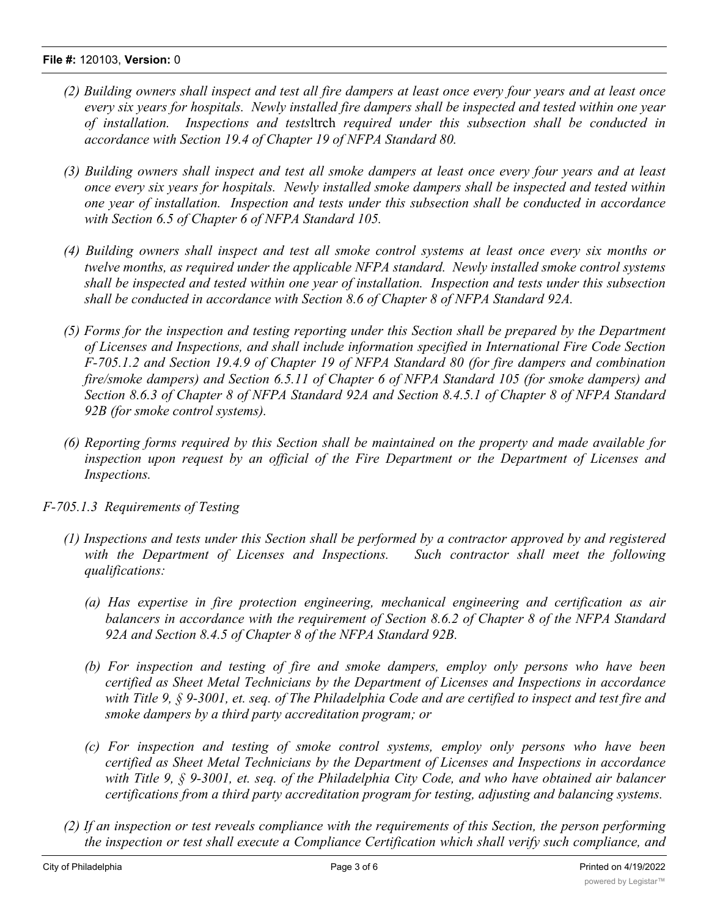#### **File #:** 120103, **Version:** 0

- (2) Building owners shall inspect and test all fire dampers at least once every four years and at least once *every six years for hospitals. Newly installed fire dampers shall be inspected and tested within one year of installation. Inspections and tests*ltrch *required under this subsection shall be conducted in accordance with Section 19.4 of Chapter 19 of NFPA Standard 80.*
- (3) Building owners shall inspect and test all smoke dampers at least once every four years and at least *once every six years for hospitals. Newly installed smoke dampers shall be inspected and tested within one year of installation. Inspection and tests under this subsection shall be conducted in accordance with Section 6.5 of Chapter 6 of NFPA Standard 105.*
- (4) Building owners shall inspect and test all smoke control systems at least once every six months or *twelve months, as required under the applicable NFPA standard. Newly installed smoke control systems shall be inspected and tested within one year of installation. Inspection and tests under this subsection shall be conducted in accordance with Section 8.6 of Chapter 8 of NFPA Standard 92A.*
- *(5) Forms for the inspection and testing reporting under this Section shall be prepared by the Department of Licenses and Inspections, and shall include information specified in International Fire Code Section F-705.1.2 and Section 19.4.9 of Chapter 19 of NFPA Standard 80 (for fire dampers and combination fire/smoke dampers) and Section 6.5.11 of Chapter 6 of NFPA Standard 105 (for smoke dampers) and Section 8.6.3 of Chapter 8 of NFPA Standard 92A and Section 8.4.5.1 of Chapter 8 of NFPA Standard 92B (for smoke control systems).*
- *(6) Reporting forms required by this Section shall be maintained on the property and made available for inspection upon request by an official of the Fire Department or the Department of Licenses and Inspections.*
- *F-705.1.3 Requirements of Testing*
	- (1) Inspections and tests under this Section shall be performed by a contractor approved by and registered *with the Department of Licenses and Inspections. Such contractor shall meet the following qualifications:*
		- *(a) Has expertise in fire protection engineering, mechanical engineering and certification as air balancers in accordance with the requirement of Section 8.6.2 of Chapter 8 of the NFPA Standard 92A and Section 8.4.5 of Chapter 8 of the NFPA Standard 92B.*
		- *(b) For inspection and testing of fire and smoke dampers, employ only persons who have been certified as Sheet Metal Technicians by the Department of Licenses and Inspections in accordance* with Title 9,  $\S$  9-3001, et. seq. of The Philadelphia Code and are certified to inspect and test fire and *smoke dampers by a third party accreditation program; or*
		- *(c) For inspection and testing of smoke control systems, employ only persons who have been certified as Sheet Metal Technicians by the Department of Licenses and Inspections in accordance with Title 9, § 9-3001, et. seq. of the Philadelphia City Code, and who have obtained air balancer certifications from a third party accreditation program for testing, adjusting and balancing systems.*
	- (2) If an inspection or test reveals compliance with the requirements of this Section, the person performing *the inspection or test shall execute a Compliance Certification which shall verify such compliance, and*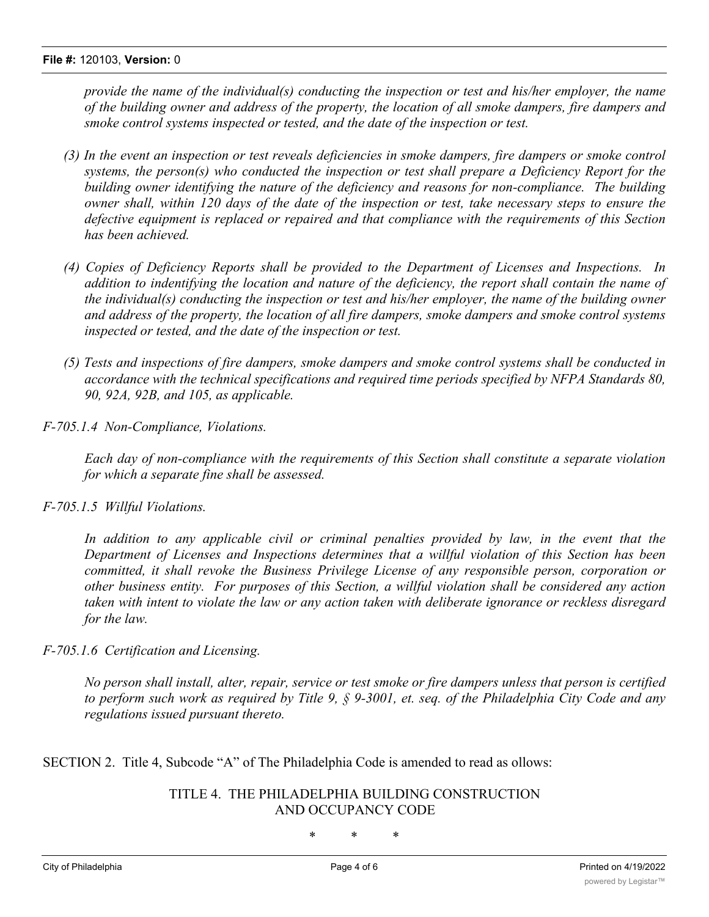*provide the name of the individual(s) conducting the inspection or test and his/her employer, the name* of the building owner and address of the property, the location of all smoke dampers, fire dampers and *smoke control systems inspected or tested, and the date of the inspection or test.*

- (3) In the event an inspection or test reveals deficiencies in smoke dampers, fire dampers or smoke control *systems, the person(s) who conducted the inspection or test shall prepare a Deficiency Report for the building owner identifying the nature of the deficiency and reasons for non-compliance. The building* owner shall, within 120 days of the date of the inspection or test, take necessary steps to ensure the *defective equipment is replaced or repaired and that compliance with the requirements of this Section has been achieved.*
- *(4) Copies of Deficiency Reports shall be provided to the Department of Licenses and Inspections. In addition to indentifying the location and nature of the deficiency, the report shall contain the name of the individual(s) conducting the inspection or test and his/her employer, the name of the building owner and address of the property, the location of all fire dampers, smoke dampers and smoke control systems inspected or tested, and the date of the inspection or test.*
- *(5) Tests and inspections of fire dampers, smoke dampers and smoke control systems shall be conducted in accordance with the technical specifications and required time periods specified by NFPA Standards 80, 90, 92A, 92B, and 105, as applicable.*
- *F-705.1.4 Non-Compliance, Violations.*

*Each day of non-compliance with the requirements of this Section shall constitute a separate violation for which a separate fine shall be assessed.*

#### *F-705.1.5 Willful Violations.*

*In addition to any applicable civil or criminal penalties provided by law, in the event that the Department of Licenses and Inspections determines that a willful violation of this Section has been committed, it shall revoke the Business Privilege License of any responsible person, corporation or other business entity. For purposes of this Section, a willful violation shall be considered any action taken with intent to violate the law or any action taken with deliberate ignorance or reckless disregard for the law.*

*F-705.1.6 Certification and Licensing.*

No person shall install, alter, repair, service or test smoke or fire dampers unless that person is certified to perform such work as required by Title 9,  $\S$  9-3001, et. seq. of the Philadelphia City Code and any *regulations issued pursuant thereto.*

SECTION 2. Title 4, Subcode "A" of The Philadelphia Code is amended to read as ollows:

#### TITLE 4. THE PHILADELPHIA BUILDING CONSTRUCTION AND OCCUPANCY CODE

\* \* \*